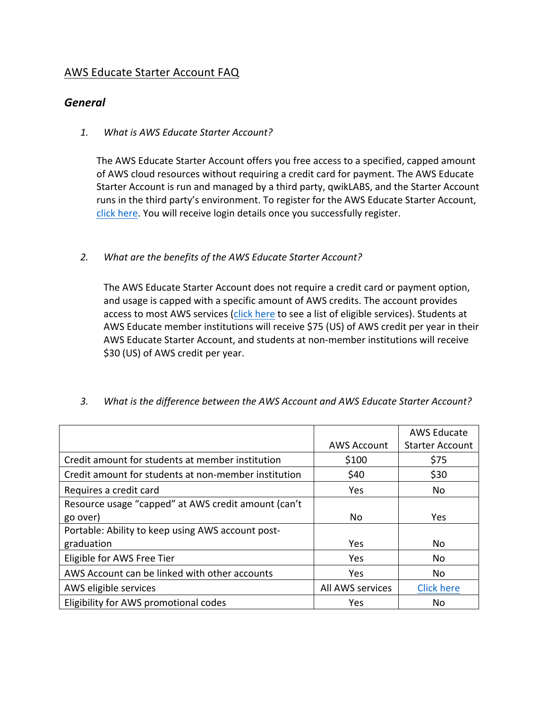## AWS Educate Starter Account FAQ

## *General*

1. *What is AWS Educate Starter Account?* 

The AWS Educate Starter Account offers you free access to a specified, capped amount of AWS cloud resources without requiring a credit card for payment. The AWS Educate Starter Account is run and managed by a third party, qwikLABS, and the Starter Account runs in the third party's environment. To register for the AWS Educate Starter Account, click here. You will receive login details once you successfully register.

2. *What are the benefits of the AWS Educate Starter Account?* 

The AWS Educate Starter Account does not require a credit card or payment option, and usage is capped with a specific amount of AWS credits. The account provides access to most AWS services (click here to see a list of eligible services). Students at AWS Educate member institutions will receive \$75 (US) of AWS credit per year in their AWS Educate Starter Account, and students at non-member institutions will receive \$30 (US) of AWS credit per year.

|                                                      |                    | <b>AWS Educate</b>     |
|------------------------------------------------------|--------------------|------------------------|
|                                                      | <b>AWS Account</b> | <b>Starter Account</b> |
| Credit amount for students at member institution     | \$100              | \$75                   |
| Credit amount for students at non-member institution | \$40               | \$30                   |
| Requires a credit card                               | Yes                | No                     |
| Resource usage "capped" at AWS credit amount (can't  |                    |                        |
| go over)                                             | No.                | <b>Yes</b>             |
| Portable: Ability to keep using AWS account post-    |                    |                        |
| graduation                                           | Yes                | No                     |
| Eligible for AWS Free Tier                           | Yes                | No                     |
| AWS Account can be linked with other accounts        | Yes                | No                     |
| AWS eligible services                                | All AWS services   | <b>Click here</b>      |
| Eligibility for AWS promotional codes                | Yes                | No                     |

3. What is the difference between the AWS Account and AWS Educate Starter Account?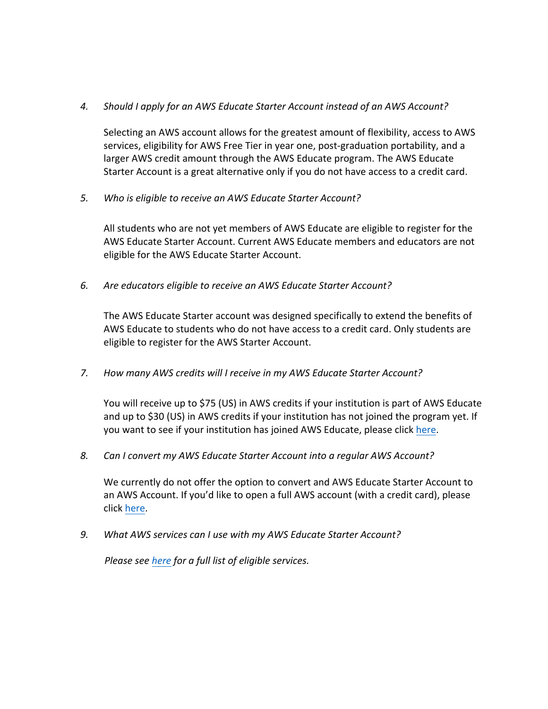## 4. Should I apply for an AWS Educate Starter Account instead of an AWS Account?

Selecting an AWS account allows for the greatest amount of flexibility, access to AWS services, eligibility for AWS Free Tier in year one, post-graduation portability, and a larger AWS credit amount through the AWS Educate program. The AWS Educate Starter Account is a great alternative only if you do not have access to a credit card.

5. Who is eligible to receive an AWS Educate Starter Account?

All students who are not yet members of AWS Educate are eligible to register for the AWS Educate Starter Account. Current AWS Educate members and educators are not eligible for the AWS Educate Starter Account.

6. Are educators eligible to receive an AWS Educate Starter Account?

The AWS Educate Starter account was designed specifically to extend the benefits of AWS Educate to students who do not have access to a credit card. Only students are eligible to register for the AWS Starter Account.

7. How many AWS credits will I receive in my AWS Educate Starter Account?

You will receive up to \$75 (US) in AWS credits if your institution is part of AWS Educate and up to \$30 (US) in AWS credits if your institution has not joined the program yet. If you want to see if your institution has joined AWS Educate, please click here.

*8. Can I convert my AWS Educate Starter Account into a regular AWS Account?*

We currently do not offer the option to convert and AWS Educate Starter Account to an AWS Account. If you'd like to open a full AWS account (with a credit card), please click here.

9. *What AWS services can I use with my AWS Educate Starter Account?* 

*Please see here for a full list of eligible services.*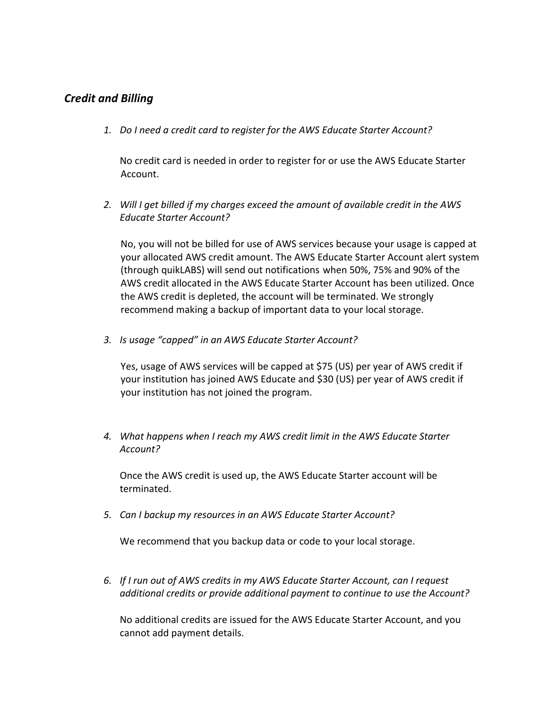## *Credit and Billing*

*1. Do I need a credit card to register for the AWS Educate Starter Account?*

No credit card is needed in order to register for or use the AWS Educate Starter Account.

2. Will I get billed if my charges exceed the amount of available credit in the AWS *Educate Starter Account?*

No, you will not be billed for use of AWS services because your usage is capped at your allocated AWS credit amount. The AWS Educate Starter Account alert system (through quikLABS) will send out notifications when 50%, 75% and 90% of the AWS credit allocated in the AWS Educate Starter Account has been utilized. Once the AWS credit is depleted, the account will be terminated. We strongly recommend making a backup of important data to your local storage.

3. *Is usage "capped" in an AWS Educate Starter Account?* 

Yes, usage of AWS services will be capped at \$75 (US) per year of AWS credit if your institution has joined AWS Educate and \$30 (US) per year of AWS credit if your institution has not joined the program.

4. What happens when I reach my AWS credit limit in the AWS Educate Starter *Account?*

Once the AWS credit is used up, the AWS Educate Starter account will be terminated. 

*5. Can I backup my resources in an AWS Educate Starter Account?*

We recommend that you backup data or code to your local storage.

6. If I run out of AWS credits in my AWS Educate Starter Account, can I request *additional credits or provide additional payment to continue to use the Account?* 

No additional credits are issued for the AWS Educate Starter Account, and you cannot add payment details.